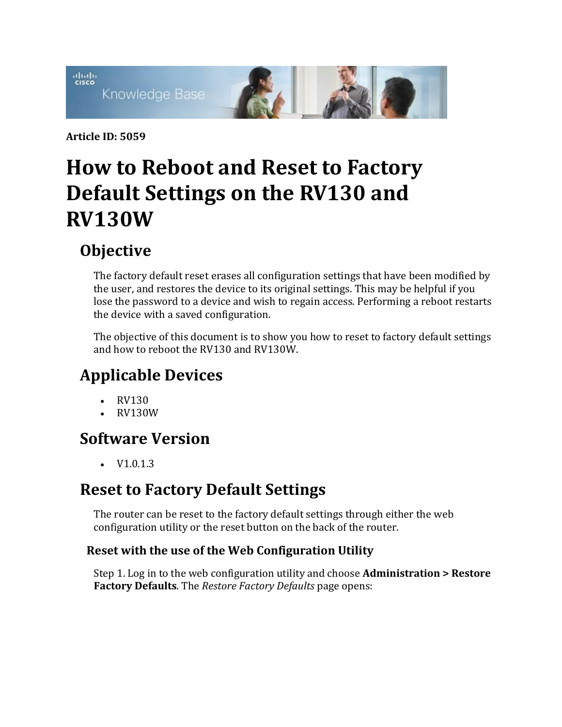

**Article ID: 5059**

## **How to Reboot and Reset to Factory Default Settings on the RV130 and RV130W**

## **Objective**

The factory default reset erases all configuration settings that have been modified by the user, and restores the device to its original settings. This may be helpful if you lose the password to a device and wish to regain access. Performing a reboot restarts the device with a saved configuration.

The objective of this document is to show you how to reset to factory default settings and how to reboot the RV130 and RV130W.

## **Applicable Devices**

- RV130
- RV130W

### **Software Version**

 $\bullet$  V1.0.1.3

## **Reset to Factory Default Settings**

The router can be reset to the factory default settings through either the web configuration utility or the reset button on the back of the router.

### **Reset with the use of the Web Configuration Utility**

Step 1. Log in to the web configuration utility and choose **Administration > Restore Factory Defaults**. The *Restore Factory Defaults* page opens: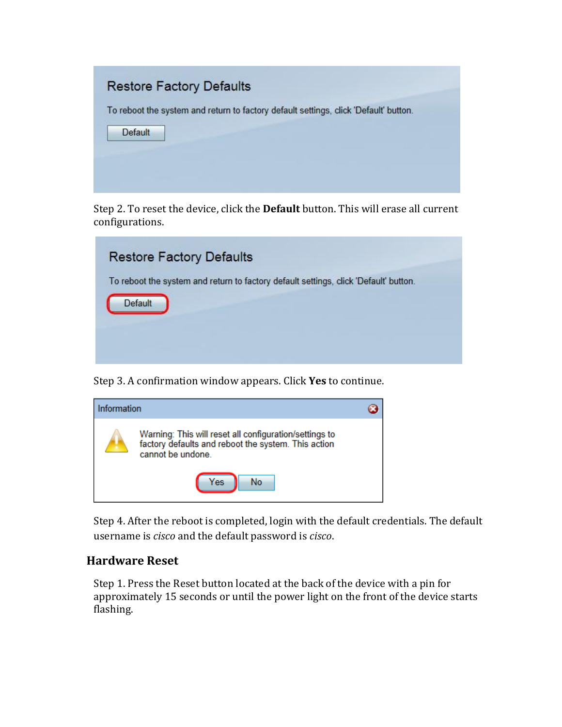# **Restore Factory Defaults** To reboot the system and return to factory default settings, click 'Default' button. Default

Step 2. To reset the device, click the **Default** button. This will erase all current configurations.

| <b>Restore Factory Defaults</b>                                                                 |  |
|-------------------------------------------------------------------------------------------------|--|
| To reboot the system and return to factory default settings, click 'Default' button.<br>Default |  |
|                                                                                                 |  |
|                                                                                                 |  |

Step 3. A confirmation window appears. Click **Yes** to continue.



Step 4. After the reboot is completed, login with the default credentials. The default username is *cisco* and the default password is *cisco*.

#### **Hardware Reset**

Step 1. Press the Reset button located at the back of the device with a pin for approximately 15 seconds or until the power light on the front of the device starts flashing.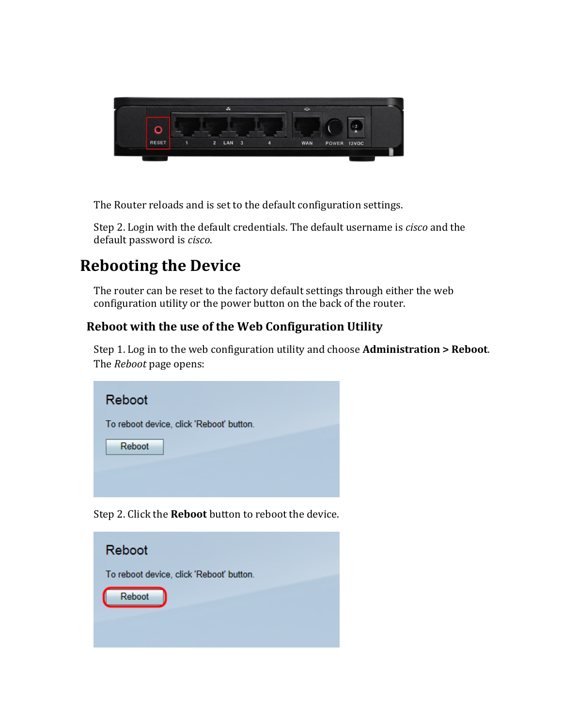

The Router reloads and is set to the default configuration settings.

Step 2. Login with the default credentials. The default username is *cisco* and the default password is *cisco*.

### **Rebooting the Device**

The router can be reset to the factory default settings through either the web configuration utility or the power button on the back of the router.

### **Reboot with the use of the Web Configuration Utility**

Step 1. Log in to the web configuration utility and choose **Administration > Reboot**. The *Reboot* page opens:

| Reboot                                                       |
|--------------------------------------------------------------|
| To reboot device, click 'Reboot' button.                     |
| Reboot                                                       |
|                                                              |
|                                                              |
| Step 2. Click the <b>Reboot</b> button to reboot the device. |

Reboot To reboot device, click 'Reboot' button. Reboot